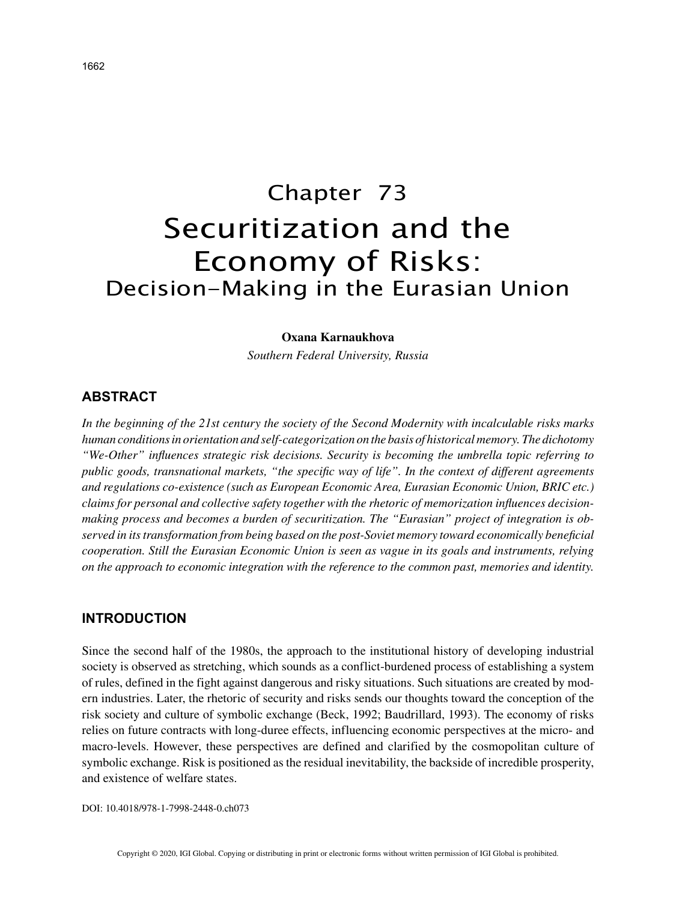# Chapter 73 Securitization and the Economy of Risks: Decision-Making in the Eurasian Union

## **Oxana Karnaukhova**

*Southern Federal University, Russia*

## **ABSTRACT**

*In the beginning of the 21st century the society of the Second Modernity with incalculable risks marks human conditions in orientation and self-categorization on the basis of historical memory. The dichotomy "We-Other" influences strategic risk decisions. Security is becoming the umbrella topic referring to public goods, transnational markets, "the specific way of life". In the context of different agreements and regulations co-existence (such as European Economic Area, Eurasian Economic Union, BRIC etc.) claims for personal and collective safety together with the rhetoric of memorization influences decisionmaking process and becomes a burden of securitization. The "Eurasian" project of integration is observed in its transformation from being based on the post-Soviet memory toward economically beneficial cooperation. Still the Eurasian Economic Union is seen as vague in its goals and instruments, relying on the approach to economic integration with the reference to the common past, memories and identity.*

## **INTRODUCTION**

Since the second half of the 1980s, the approach to the institutional history of developing industrial society is observed as stretching, which sounds as a conflict-burdened process of establishing a system of rules, defined in the fight against dangerous and risky situations. Such situations are created by modern industries. Later, the rhetoric of security and risks sends our thoughts toward the conception of the risk society and culture of symbolic exchange (Beck, 1992; Baudrillard, 1993). The economy of risks relies on future contracts with long-duree effects, influencing economic perspectives at the micro- and macro-levels. However, these perspectives are defined and clarified by the cosmopolitan culture of symbolic exchange. Risk is positioned as the residual inevitability, the backside of incredible prosperity, and existence of welfare states.

DOI: 10.4018/978-1-7998-2448-0.ch073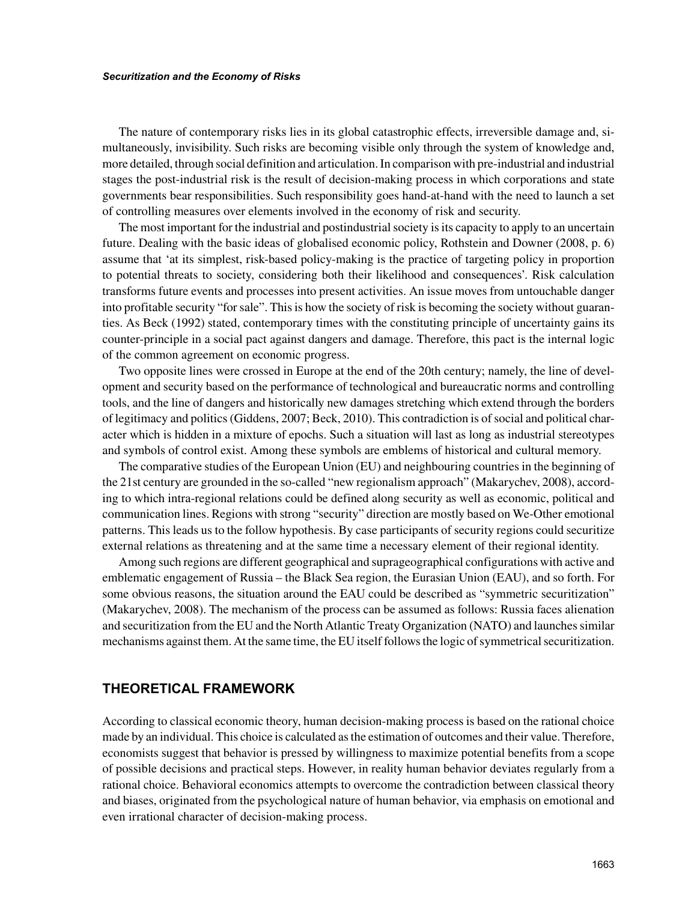#### *Securitization and the Economy of Risks*

The nature of contemporary risks lies in its global catastrophic effects, irreversible damage and, simultaneously, invisibility. Such risks are becoming visible only through the system of knowledge and, more detailed, through social definition and articulation. In comparison with pre-industrial and industrial stages the post-industrial risk is the result of decision-making process in which corporations and state governments bear responsibilities. Such responsibility goes hand-at-hand with the need to launch a set of controlling measures over elements involved in the economy of risk and security.

The most important for the industrial and postindustrial society is its capacity to apply to an uncertain future. Dealing with the basic ideas of globalised economic policy, Rothstein and Downer (2008, p. 6) assume that 'at its simplest, risk-based policy-making is the practice of targeting policy in proportion to potential threats to society, considering both their likelihood and consequences'. Risk calculation transforms future events and processes into present activities. An issue moves from untouchable danger into profitable security "for sale". This is how the society of risk is becoming the society without guaranties. As Beck (1992) stated, contemporary times with the constituting principle of uncertainty gains its counter-principle in a social pact against dangers and damage. Therefore, this pact is the internal logic of the common agreement on economic progress.

Two opposite lines were crossed in Europe at the end of the 20th century; namely, the line of development and security based on the performance of technological and bureaucratic norms and controlling tools, and the line of dangers and historically new damages stretching which extend through the borders of legitimacy and politics (Giddens, 2007; Beck, 2010). This contradiction is of social and political character which is hidden in a mixture of epochs. Such a situation will last as long as industrial stereotypes and symbols of control exist. Among these symbols are emblems of historical and cultural memory.

The comparative studies of the European Union (EU) and neighbouring countries in the beginning of the 21st century are grounded in the so-called "new regionalism approach" (Makarychev, 2008), according to which intra-regional relations could be defined along security as well as economic, political and communication lines. Regions with strong "security" direction are mostly based on We-Other emotional patterns. This leads us to the follow hypothesis. By case participants of security regions could securitize external relations as threatening and at the same time a necessary element of their regional identity.

Among such regions are different geographical and suprageographical configurations with active and emblematic engagement of Russia – the Black Sea region, the Eurasian Union (EAU), and so forth. For some obvious reasons, the situation around the EAU could be described as "symmetric securitization" (Makarychev, 2008). The mechanism of the process can be assumed as follows: Russia faces alienation and securitization from the EU and the North Atlantic Treaty Organization (NATO) and launches similar mechanisms against them. At the same time, the EU itself follows the logic of symmetrical securitization.

# **THEORETICAL FRAMEWORK**

According to classical economic theory, human decision-making process is based on the rational choice made by an individual. This choice is calculated as the estimation of outcomes and their value. Therefore, economists suggest that behavior is pressed by willingness to maximize potential benefits from a scope of possible decisions and practical steps. However, in reality human behavior deviates regularly from a rational choice. Behavioral economics attempts to overcome the contradiction between classical theory and biases, originated from the psychological nature of human behavior, via emphasis on emotional and even irrational character of decision-making process.